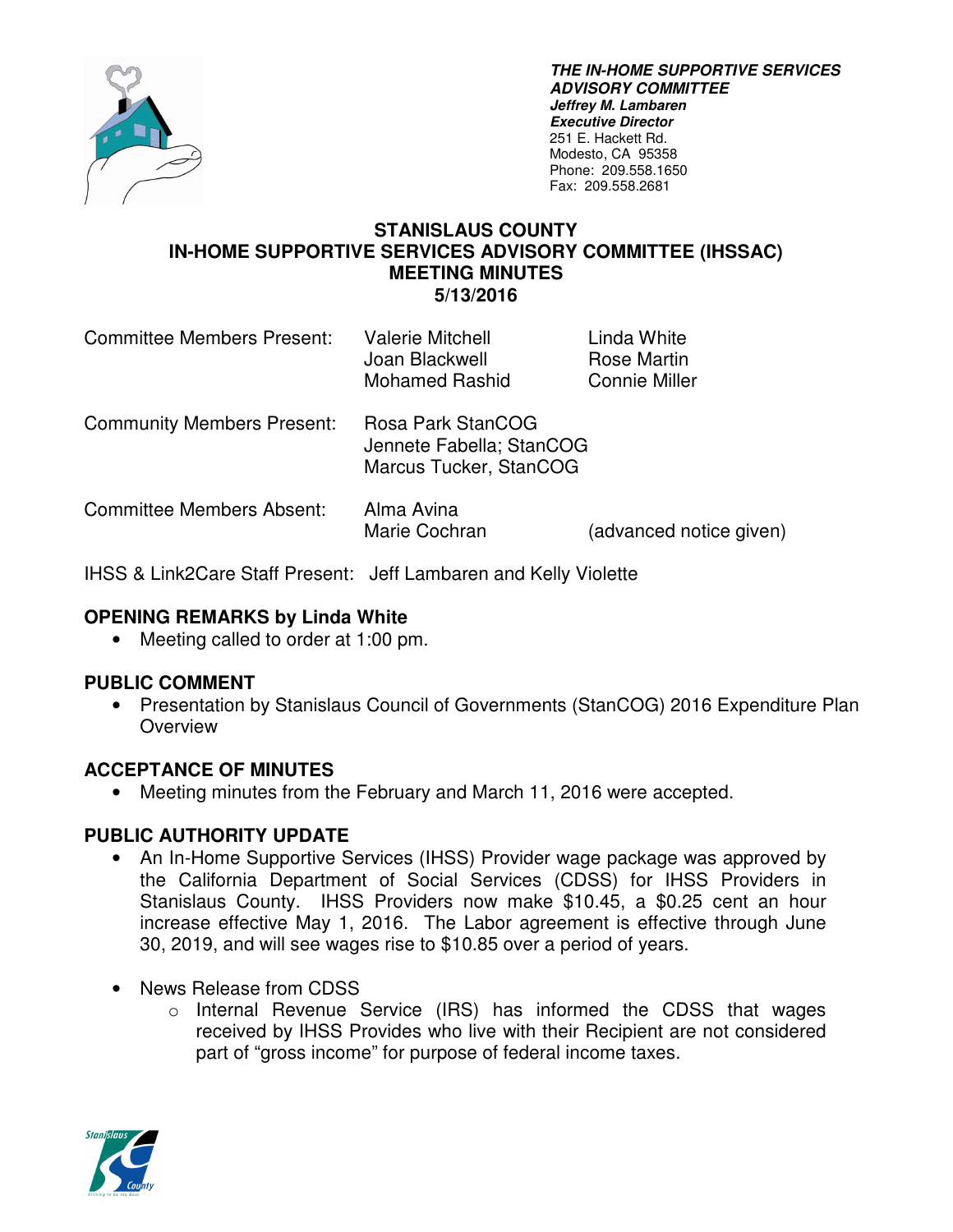

**THE IN-HOME SUPPORTIVE SERVICES ADVISORY COMMITTEE Jeffrey M. Lambaren Executive Director**  251 E. Hackett Rd. Modesto, CA 95358 Phone: 209.558.1650 Fax: 209.558.2681

### **STANISLAUS COUNTY IN-HOME SUPPORTIVE SERVICES ADVISORY COMMITTEE (IHSSAC) MEETING MINUTES 5/13/2016**

| <b>Committee Members Present:</b> | <b>Valerie Mitchell</b><br>Joan Blackwell<br><b>Mohamed Rashid</b>      | Linda White<br>Rose Martin<br><b>Connie Miller</b> |
|-----------------------------------|-------------------------------------------------------------------------|----------------------------------------------------|
| <b>Community Members Present:</b> | Rosa Park StanCOG<br>Jennete Fabella; StanCOG<br>Marcus Tucker, StanCOG |                                                    |
| <b>Committee Members Absent:</b>  | Alma Avina<br>Marie Cochran                                             | (advanced notice given)                            |

IHSS & Link2Care Staff Present: Jeff Lambaren and Kelly Violette

### **OPENING REMARKS by Linda White**

• Meeting called to order at 1:00 pm.

#### **PUBLIC COMMENT**

• Presentation by Stanislaus Council of Governments (StanCOG) 2016 Expenditure Plan **Overview** 

#### **ACCEPTANCE OF MINUTES**

• Meeting minutes from the February and March 11, 2016 were accepted.

#### **PUBLIC AUTHORITY UPDATE**

- An In-Home Supportive Services (IHSS) Provider wage package was approved by the California Department of Social Services (CDSS) for IHSS Providers in Stanislaus County. IHSS Providers now make \$10.45, a \$0.25 cent an hour increase effective May 1, 2016. The Labor agreement is effective through June 30, 2019, and will see wages rise to \$10.85 over a period of years.
- News Release from CDSS
	- o Internal Revenue Service (IRS) has informed the CDSS that wages received by IHSS Provides who live with their Recipient are not considered part of "gross income" for purpose of federal income taxes.

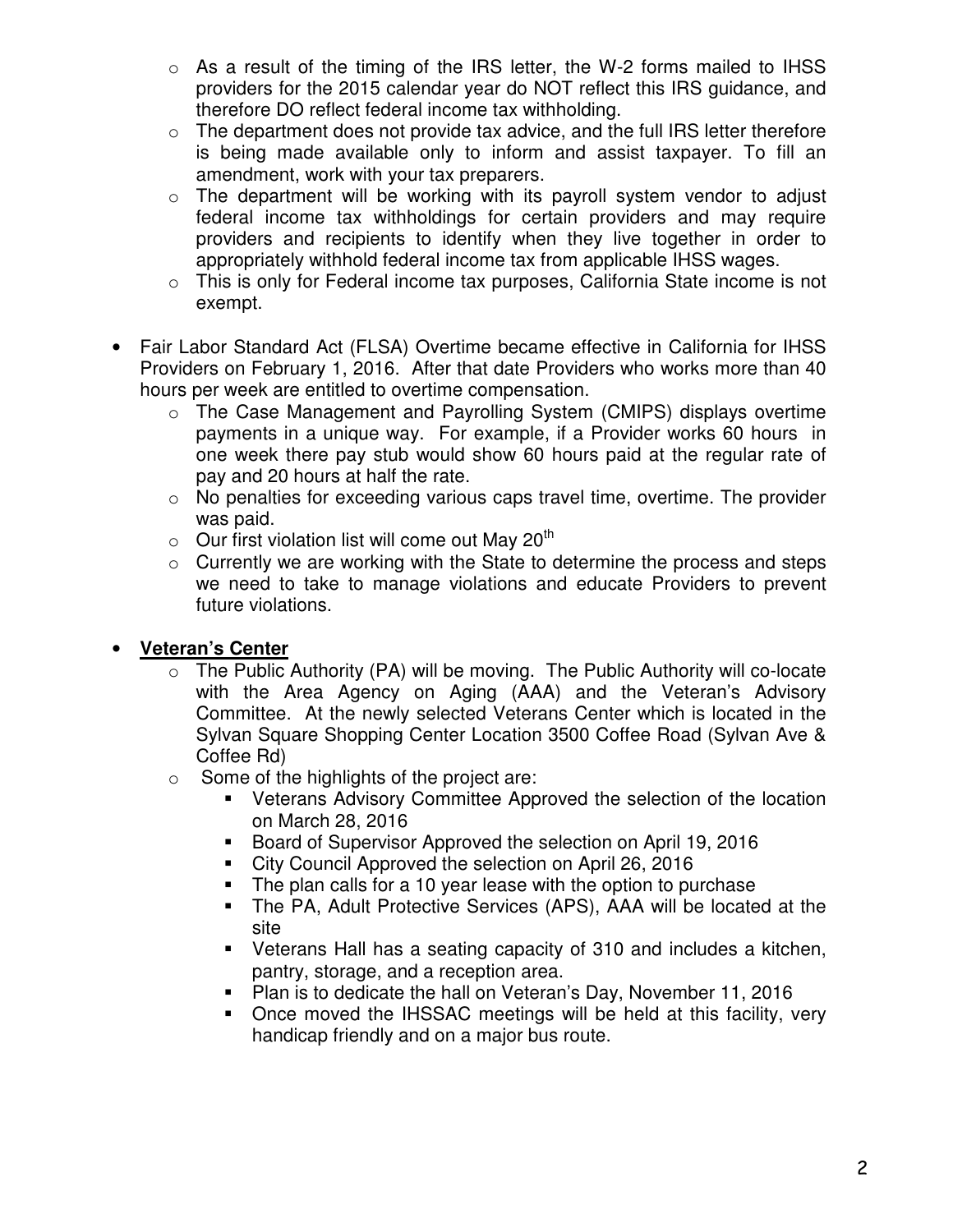- $\circ$  As a result of the timing of the IRS letter, the W-2 forms mailed to IHSS providers for the 2015 calendar year do NOT reflect this IRS guidance, and therefore DO reflect federal income tax withholding.
- $\circ$  The department does not provide tax advice, and the full IRS letter therefore is being made available only to inform and assist taxpayer. To fill an amendment, work with your tax preparers.
- $\circ$  The department will be working with its payroll system vendor to adjust federal income tax withholdings for certain providers and may require providers and recipients to identify when they live together in order to appropriately withhold federal income tax from applicable IHSS wages.
- o This is only for Federal income tax purposes, California State income is not exempt.
- Fair Labor Standard Act (FLSA) Overtime became effective in California for IHSS Providers on February 1, 2016. After that date Providers who works more than 40 hours per week are entitled to overtime compensation.
	- o The Case Management and Payrolling System (CMIPS) displays overtime payments in a unique way. For example, if a Provider works 60 hours in one week there pay stub would show 60 hours paid at the regular rate of pay and 20 hours at half the rate.
	- $\circ$  No penalties for exceeding various caps travel time, overtime. The provider was paid.
	- $\circ$  Our first violation list will come out May 20<sup>th</sup>
	- o Currently we are working with the State to determine the process and steps we need to take to manage violations and educate Providers to prevent future violations.

## • **Veteran's Center**

- $\circ$  The Public Authority (PA) will be moving. The Public Authority will co-locate with the Area Agency on Aging (AAA) and the Veteran's Advisory Committee. At the newly selected Veterans Center which is located in the Sylvan Square Shopping Center Location 3500 Coffee Road (Sylvan Ave & Coffee Rd)
- $\circ$  Some of the highlights of the project are:
	- Veterans Advisory Committee Approved the selection of the location on March 28, 2016
	- Board of Supervisor Approved the selection on April 19, 2016
	- City Council Approved the selection on April 26, 2016
	- The plan calls for a 10 year lease with the option to purchase
	- The PA, Adult Protective Services (APS), AAA will be located at the site
	- Veterans Hall has a seating capacity of 310 and includes a kitchen, pantry, storage, and a reception area.
	- **Plan is to dedicate the hall on Veteran's Day, November 11, 2016**
	- Once moved the IHSSAC meetings will be held at this facility, very handicap friendly and on a major bus route.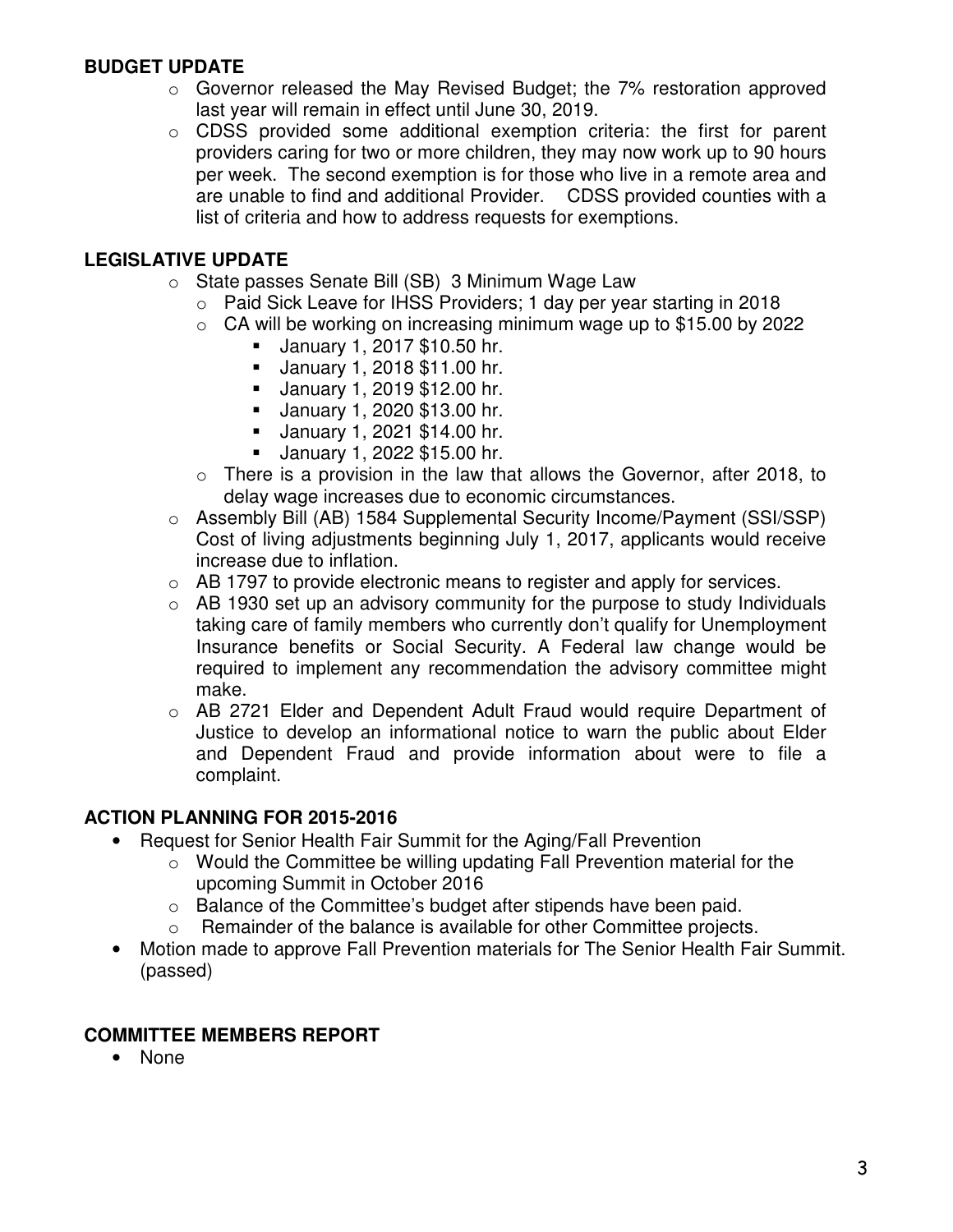## **BUDGET UPDATE**

- o Governor released the May Revised Budget; the 7% restoration approved last year will remain in effect until June 30, 2019.
- o CDSS provided some additional exemption criteria: the first for parent providers caring for two or more children, they may now work up to 90 hours per week. The second exemption is for those who live in a remote area and are unable to find and additional Provider. CDSS provided counties with a list of criteria and how to address requests for exemptions.

# **LEGISLATIVE UPDATE**

- o State passes Senate Bill (SB) 3 Minimum Wage Law
	- o Paid Sick Leave for IHSS Providers; 1 day per year starting in 2018
	- $\circ$  CA will be working on increasing minimum wage up to \$15.00 by 2022
		- January 1, 2017 \$10.50 hr.
		- January 1, 2018 \$11.00 hr.
		- January 1, 2019 \$12.00 hr.
		- January 1, 2020 \$13.00 hr.
		- January 1, 2021 \$14.00 hr.
		- January 1, 2022 \$15.00 hr.
	- $\circ$  There is a provision in the law that allows the Governor, after 2018, to delay wage increases due to economic circumstances.
- o Assembly Bill (AB) 1584 Supplemental Security Income/Payment (SSI/SSP) Cost of living adjustments beginning July 1, 2017, applicants would receive increase due to inflation.
- $\circ$  AB 1797 to provide electronic means to register and apply for services.
- $\circ$  AB 1930 set up an advisory community for the purpose to study Individuals taking care of family members who currently don't qualify for Unemployment Insurance benefits or Social Security. A Federal law change would be required to implement any recommendation the advisory committee might make.
- o AB 2721 Elder and Dependent Adult Fraud would require Department of Justice to develop an informational notice to warn the public about Elder and Dependent Fraud and provide information about were to file a complaint.

## **ACTION PLANNING FOR 2015-2016**

- Request for Senior Health Fair Summit for the Aging/Fall Prevention
	- o Would the Committee be willing updating Fall Prevention material for the upcoming Summit in October 2016
	- o Balance of the Committee's budget after stipends have been paid.
	- o Remainder of the balance is available for other Committee projects.
	- Motion made to approve Fall Prevention materials for The Senior Health Fair Summit. (passed)

## **COMMITTEE MEMBERS REPORT**

• None